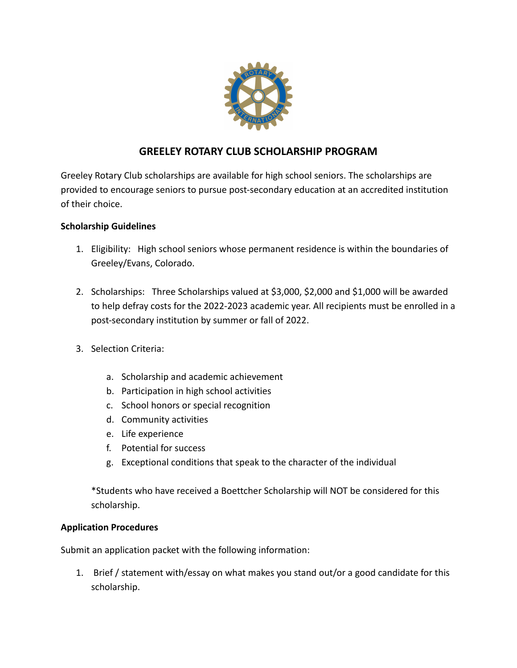

# **GREELEY ROTARY CLUB SCHOLARSHIP PROGRAM**

Greeley Rotary Club scholarships are available for high school seniors. The scholarships are provided to encourage seniors to pursue post-secondary education at an accredited institution of their choice.

# **Scholarship Guidelines**

- 1. Eligibility: High school seniors whose permanent residence is within the boundaries of Greeley/Evans, Colorado.
- 2. Scholarships: Three Scholarships valued at \$3,000, \$2,000 and \$1,000 will be awarded to help defray costs for the 2022-2023 academic year. All recipients must be enrolled in a post-secondary institution by summer or fall of 2022.
- 3. Selection Criteria:
	- a. Scholarship and academic achievement
	- b. Participation in high school activities
	- c. School honors or special recognition
	- d. Community activities
	- e. Life experience
	- f. Potential for success
	- g. Exceptional conditions that speak to the character of the individual

\*Students who have received a Boettcher Scholarship will NOT be considered for this scholarship.

### **Application Procedures**

Submit an application packet with the following information:

1. Brief / statement with/essay on what makes you stand out/or a good candidate for this scholarship.